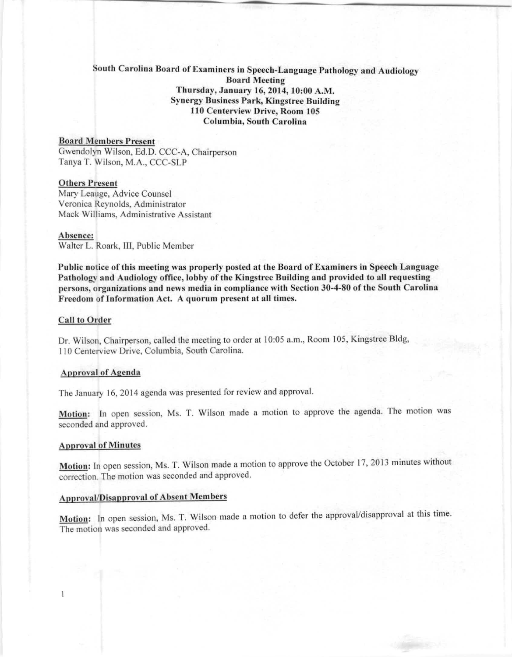# South Carolina Board of Examiners in Speech-Language Pathology and Audiology **Board Meeting** Thursday, January 16,2014,10:00 A.M. **Synergy Business Park, Kingstree Building** 110 Centerview Drive, Room 105 Columbia, South Carolina

# **Board Members Present**

Gwendolyn Wilson, Ed.D. CCC-A, Chairperson Tanya T. Wilson, M.A., CCC-SLI'

# **Others Present**

Mary Leauge, Advice Counsel Veronica Reynolds, Administrator Mack Williams, Administrative Assistant

#### Absence:

Walter L. Roark, III, Public Member

Public notice of this meeting was properly posted at the Board of Examiners in Speech Language Pathology and Audiology office, lobby of the Kingstree Building and provided to all requesting persons, organizations and news media in compliance with Section 30-4-80 of the South Carolina Freedom of Information Act. A quorum present at all times.

## **Call to Order**

Dr. Wilson, Chairperson, called the meeting to order at 10:05 a.m., Room 105, Kingstree Bldg, 110 Centerview Drive, Columbia, South Carolina.

#### **ApJ)rnvnl of Agenda**

The January 16, 2014 agenda was presented for review and approval.

Motion: In open session, Ms. T. Wilson made a motion to approve the agenda. The motion was seconded and approved.

#### Approval of Minutcs

 $\mathbf{1}$ 

Motion: In open session, Ms. T. Wilson made a motion to approve the October 17, 2013 minutes without correction. The motion was seconded and approved.

# Approval/Disapproval of Absent Members

Motion: In open session, Ms. T. Wilson made a motion to defer the approval/disapproval at this time. The motion was seconded and approved.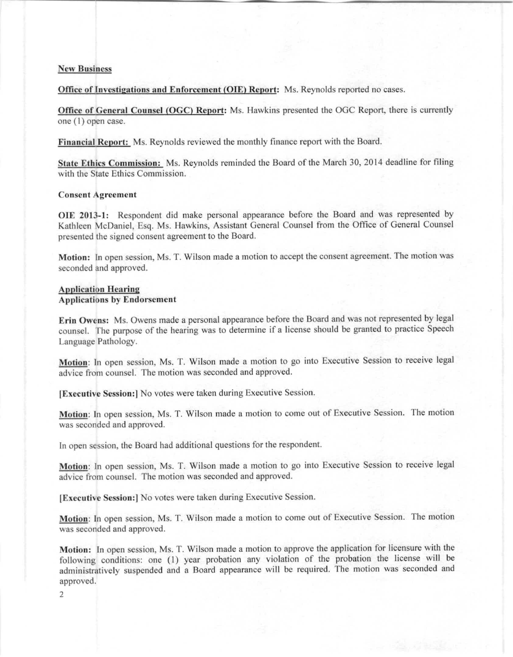## **New Business**

Office of Investigations and Enforcement (OIE) Report: Ms, Reynolds reported no cases.

Office of General Counsel (OGC) Report: Ms. Hawkins presented the OGC Report, there is currently one (1) open case.

Financial Report: Ms. Reynolds reviewed the monthly finance report with the Board.

State Ethics Commission: Ms. Reynolds reminded the Board of the March 30, 2014 deadline for filing with the State Ethics Commission.

#### **Consent Agreement**

**OlE** 2013-1: Respondent did make personal appearance before the Board and was represented by Kathleen McDaniel, Esq. Ms. Hawkins, Assistant General Counsel from the Office of General Counsel presented the signed consent agreement to the Board.

Motion: In open session, Ms. T. Wilson made a motion to accept the consent agreement. The motion was seconded and approved.

## Application Hearing Applications hy Endorsement

Erin Owens: Ms, Owens made a personal appearance before the Board and was not represented by legal counsel. The purpose of the hearing was to determine if a license should be granted to practice Speech Language Pathology.

Motion: In open session, Ms. T. Wilson made a motion to go into Executive Session to receive legal advice from counsel. The motion was seconded and approved.

IExecutive Session: No votes were taken during Executive Session.

Motion: In open session, Ms. T. Wilson made a motion to come out of Executive Session. The motion was seconded and approved.

In open session, the Board had additional questions for the respondent.

Motion: In open session, Ms. T. Wilson made a motion to go into Executive Session to receive legal advice from counsel. The motion was seconded and approved.

[Executive Session:] No votes were taken during Executive Session.

Motion: In open session, Ms. T. Wilson made a motion to come out of Executive Session. The motion was seconded and approved.

Motion: In open session, Ms, T, Wilson made a motion to approve the application for licensure with the following conditions: one (1) year probation any violation of the probation the license will be administratively suspended and a Board appearance will be required. The motion was seconded and approved.